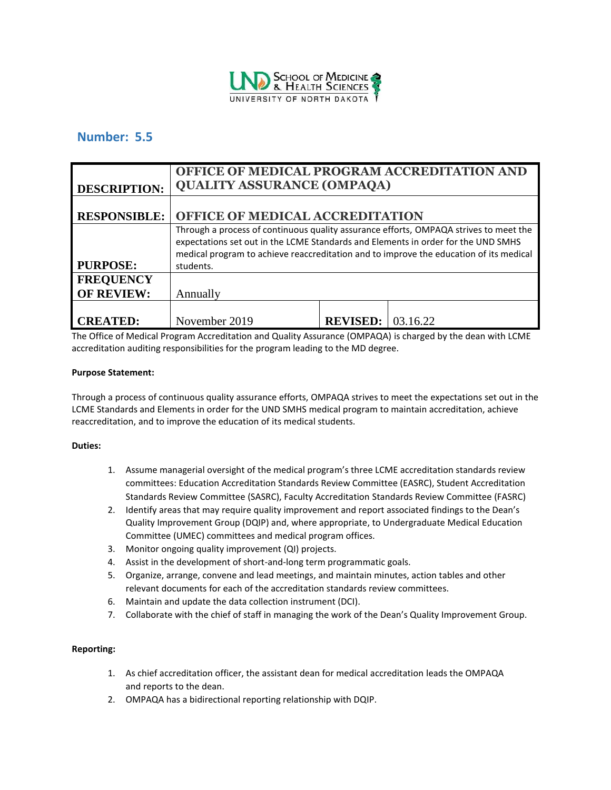

# **Number: 5.5**

| <b>DESCRIPTION:</b>                   | OFFICE OF MEDICAL PROGRAM ACCREDITATION AND<br><b>QUALITY ASSURANCE (OMPAQA)</b>                                                                                                                                                                                                  |                 |          |
|---------------------------------------|-----------------------------------------------------------------------------------------------------------------------------------------------------------------------------------------------------------------------------------------------------------------------------------|-----------------|----------|
| <b>RESPONSIBLE:</b>                   | <b>OFFICE OF MEDICAL ACCREDITATION</b>                                                                                                                                                                                                                                            |                 |          |
| <b>PURPOSE:</b>                       | Through a process of continuous quality assurance efforts, OMPAQA strives to meet the<br>expectations set out in the LCME Standards and Elements in order for the UND SMHS<br>medical program to achieve reaccreditation and to improve the education of its medical<br>students. |                 |          |
| <b>FREQUENCY</b><br><b>OF REVIEW:</b> | Annually                                                                                                                                                                                                                                                                          |                 |          |
| <b>CREATED:</b>                       | November 2019                                                                                                                                                                                                                                                                     | <b>REVISED:</b> | 03.16.22 |

The Office of Medical Program Accreditation and Quality Assurance (OMPAQA) is charged by the dean with LCME accreditation auditing responsibilities for the program leading to the MD degree.

#### **Purpose Statement:**

Through a process of continuous quality assurance efforts, OMPAQA strives to meet the expectations set out in the LCME Standards and Elements in order for the UND SMHS medical program to maintain accreditation, achieve reaccreditation, and to improve the education of its medical students.

# **Duties:**

- 1. Assume managerial oversight of the medical program's three LCME accreditation standards review committees: Education Accreditation Standards Review Committee (EASRC), Student Accreditation Standards Review Committee (SASRC), Faculty Accreditation Standards Review Committee (FASRC)
- 2. Identify areas that may require quality improvement and report associated findings to the Dean's Quality Improvement Group (DQIP) and, where appropriate, to Undergraduate Medical Education Committee (UMEC) committees and medical program offices.
- 3. Monitor ongoing quality improvement (QI) projects.
- 4. Assist in the development of short-and-long term programmatic goals.
- 5. Organize, arrange, convene and lead meetings, and maintain minutes, action tables and other relevant documents for each of the accreditation standards review committees.
- 6. Maintain and update the data collection instrument (DCI).
- 7. Collaborate with the chief of staff in managing the work of the Dean's Quality Improvement Group.

# **Reporting:**

- 1. As chief accreditation officer, the assistant dean for medical accreditation leads the OMPAQA and reports to the dean.
- 2. OMPAQA has a bidirectional reporting relationship with DQIP.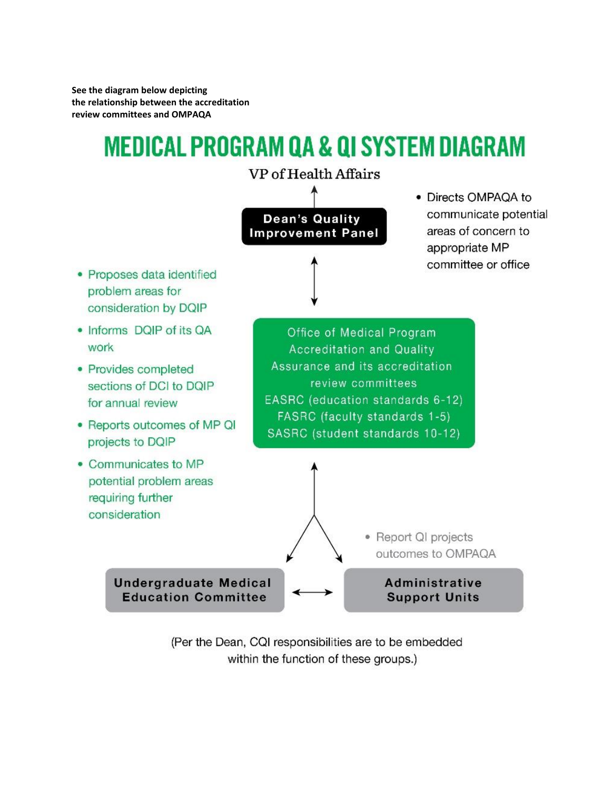**See the diagram below depicting the relationship between the accreditation review committees and OMPAQA**

# **MEDICAL PROGRAM QA & QI SYSTEM DIAGRAM**



(Per the Dean, CQI responsibilities are to be embedded within the function of these groups.)